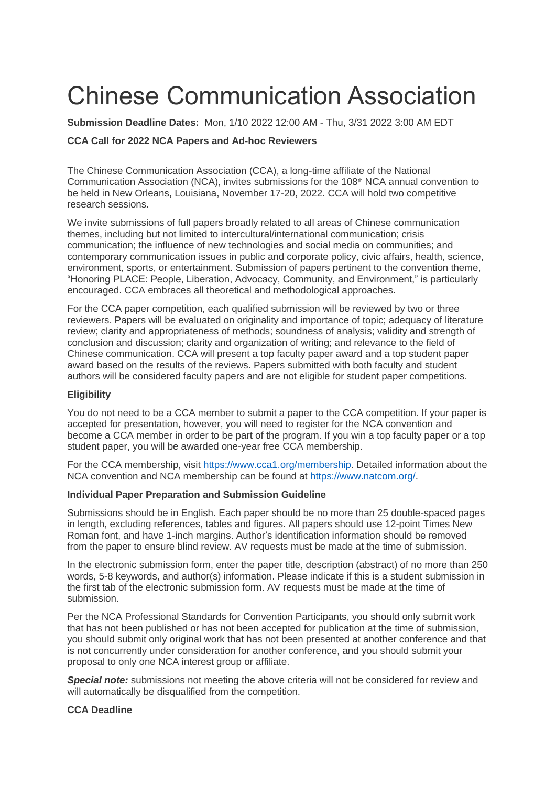# Chinese Communication Association

**Submission Deadline Dates:** Mon, 1/10 2022 12:00 AM - Thu, 3/31 2022 3:00 AM EDT

## **CCA Call for 2022 NCA Papers and Ad-hoc Reviewers**

The Chinese Communication Association (CCA), a long-time affiliate of the National Communication Association (NCA), invites submissions for the 108<sup>th</sup> NCA annual convention to be held in New Orleans, Louisiana, November 17-20, 2022. CCA will hold two competitive research sessions.

We invite submissions of full papers broadly related to all areas of Chinese communication themes, including but not limited to intercultural/international communication; crisis communication; the influence of new technologies and social media on communities; and contemporary communication issues in public and corporate policy, civic affairs, health, science, environment, sports, or entertainment. Submission of papers pertinent to the convention theme, "Honoring PLACE: People, Liberation, Advocacy, Community, and Environment," is particularly encouraged. CCA embraces all theoretical and methodological approaches.

For the CCA paper competition, each qualified submission will be reviewed by two or three reviewers. Papers will be evaluated on originality and importance of topic; adequacy of literature review; clarity and appropriateness of methods; soundness of analysis; validity and strength of conclusion and discussion; clarity and organization of writing; and relevance to the field of Chinese communication. CCA will present a top faculty paper award and a top student paper award based on the results of the reviews. Papers submitted with both faculty and student authors will be considered faculty papers and are not eligible for student paper competitions.

## **Eligibility**

You do not need to be a CCA member to submit a paper to the CCA competition. If your paper is accepted for presentation, however, you will need to register for the NCA convention and become a CCA member in order to be part of the program. If you win a top faculty paper or a top student paper, you will be awarded one-year free CCA membership.

For the CCA membership, visit [https://www.cca1.org/membership.](https://www.cca1.org/membership) Detailed information about the NCA convention and NCA membership can be found at [https://www.natcom.org/.](https://www.natcom.org/)

#### **Individual Paper Preparation and Submission Guideline**

Submissions should be in English. Each paper should be no more than 25 double-spaced pages in length, excluding references, tables and figures. All papers should use 12-point Times New Roman font, and have 1-inch margins. Author's identification information should be removed from the paper to ensure blind review. AV requests must be made at the time of submission.

In the electronic submission form, enter the paper title, description (abstract) of no more than 250 words, 5-8 keywords, and author(s) information. Please indicate if this is a student submission in the first tab of the electronic submission form. AV requests must be made at the time of submission.

Per the NCA Professional Standards for Convention Participants, you should only submit work that has not been published or has not been accepted for publication at the time of submission, you should submit only original work that has not been presented at another conference and that is not concurrently under consideration for another conference, and you should submit your proposal to only one NCA interest group or affiliate.

**Special note:** submissions not meeting the above criteria will not be considered for review and will automatically be disqualified from the competition.

## **CCA Deadline**